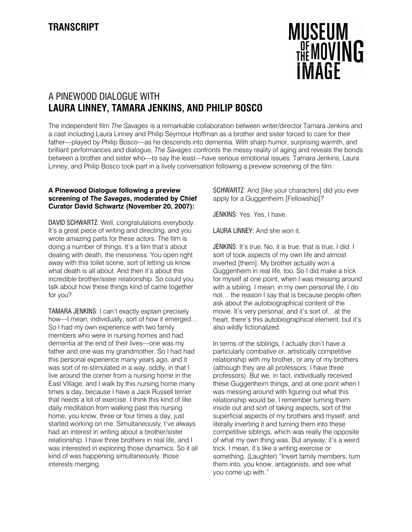

# A PINEWOOD DIALOGUE WITH **LAURA LINNEY, TAMARA JENKINS, AND PHILIP BOSCO**

The independent film *The Savages* is a remarkable collaboration between writer/director Tamara Jenkins and a cast including Laura Linney and Philip Seymour Hoffman as a brother and sister forced to care for their father—played by Philip Bosco—as he descends into dementia. With sharp humor, surprising warmth, and brilliant performances and dialogue, *The Savages* confronts the messy reality of aging and reveals the bonds between a brother and sister who—to say the least—have serious emotional issues. Tamara Jenkins, Laura Linney, and Philip Bosco took part in a lively conversation following a preview screening of the film.

## **A Pinewood Dialogue following a preview screening of** *The Savages***, moderated by Chief Curator David Schwartz (November 20, 2007):**

DAVID SCHWARTZ: Well, congratulations everybody. It's a great piece of writing and directing, and you wrote amazing parts for these actors. The film is doing a number of things. It's a film that's about dealing with death, the messiness. You open right away with this toilet scene, sort of letting us know what death is all about. And then it's about this incredible brother/sister relationship. So could you talk about how these things kind of came together for you?

TAMARA JENKINS: I can't exactly explain precisely how—I mean, individually, sort of how it emerged… So I had my own experience with two family members who were in nursing homes and had dementia at the end of their lives—one was my father and one was my grandmother. So I had had this personal experience many years ago, and it was sort of re-stimulated in a way, oddly, in that I live around the corner from a nursing home in the East Village, and I walk by this nursing home many times a day, because I have a Jack Russell terrier that needs a lot of exercise. I think this kind of like daily meditation from walking past this nursing home, you know, three or four times a day, just started working on me. Simultaneously, I've always had an interest in writing about a brother/sister relationship. I have three brothers in real life, and I was interested in exploring those dynamics. So it all kind of was happening simultaneously, those interests merging.

SCHWARTZ: And [like your characters] did you ever apply for a Guggenheim [Fellowship]?

JENKINS: Yes. Yes, I have.

LAURA LINNEY: And she won it.

JENKINS: It's true. No, it is true; that is true, I did. I sort of took aspects of my own life and almost inverted [them]. My brother actually won a Guggenheim in real life, too. So I did make a trick for myself at one point, when I was messing around with a sibling. I mean, in my own personal life, I do not… the reason I say that is because people often ask about the autobiographical content of the movie. It's very personal, and it's sort of…at the heart, there's this autobiographical element, but it's also wildly fictionalized.

In terms of the siblings, I actually don't have a particularly combative or, artistically competitive relationship with my brother, or any of my brothers (although they are all professors; I have three professors). But we, in fact, individually received these Guggenheim things, and at one point when I was messing around with figuring out what this relationship would be, I remember turning them inside out and sort of taking aspects, sort of the superficial aspects of my brothers and myself, and literally inverting it and turning them into these competitive siblings, which was really the opposite of what my own thing was. But anyway, it's a weird trick. I mean, it's like a writing exercise or something. (Laughter) "Invert family members, turn them into, you know, antagonists, and see what you come up with."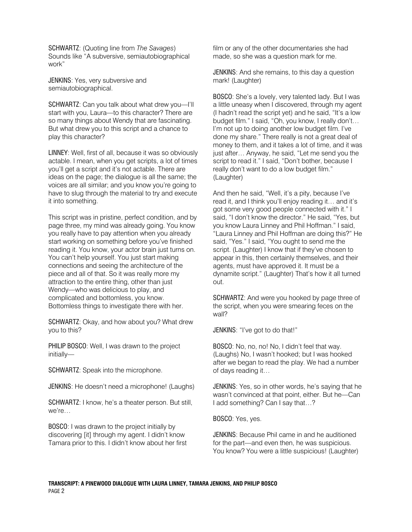SCHWARTZ: (Quoting line from *The Savages*) Sounds like "A subversive, semiautobiographical work"

JENKINS: Yes, very subversive and semiautobiographical.

SCHWARTZ: Can you talk about what drew you—I'll start with you, Laura—to this character? There are so many things about Wendy that are fascinating. But what drew you to this script and a chance to play this character?

LINNEY: Well, first of all, because it was so obviously actable. I mean, when you get scripts, a lot of times you'll get a script and it's not actable. There are ideas on the page; the dialogue is all the same; the voices are all similar; and you know you're going to have to slug through the material to try and execute it into something.

This script was in pristine, perfect condition, and by page three, my mind was already going. You know you really have to pay attention when you already start working on something before you've finished reading it. You know, your actor brain just turns on. You can't help yourself. You just start making connections and seeing the architecture of the piece and all of that. So it was really more my attraction to the entire thing, other than just Wendy—who was delicious to play, and complicated and bottomless, you know. Bottomless things to investigate there with her.

SCHWARTZ: Okay, and how about you? What drew you to this?

PHILIP BOSCO: Well, I was drawn to the project initially—

SCHWARTZ: Speak into the microphone.

JENKINS: He doesn't need a microphone! (Laughs)

SCHWARTZ: I know, he's a theater person. But still, we're…

BOSCO: I was drawn to the project initially by discovering [it] through my agent. I didn't know Tamara prior to this. I didn't know about her first film or any of the other documentaries she had made, so she was a question mark for me.

JENKINS: And she remains, to this day a question mark! (Laughter)

BOSCO: She's a lovely, very talented lady. But I was a little uneasy when I discovered, through my agent (I hadn't read the script yet) and he said, "It's a low budget film." I said, "Oh, you know, I really don't… I'm not up to doing another low budget film. I've done my share." There really is not a great deal of money to them, and it takes a lot of time, and it was just after… Anyway, he said, "Let me send you the script to read it." I said, "Don't bother, because I really don't want to do a low budget film." (Laughter)

And then he said, "Well, it's a pity, because I've read it, and I think you'll enjoy reading it… and it's got some very good people connected with it." I said, "I don't know the director." He said, "Yes, but you know Laura Linney and Phil Hoffman." I said, "Laura Linney and Phil Hoffman are doing this?" He said, "Yes." I said, "You ought to send me the script. (Laughter) I know that if they've chosen to appear in this, then certainly themselves, and their agents, must have approved it. It must be a dynamite script." (Laughter) That's how it all turned out.

SCHWARTZ: And were you hooked by page three of the script, when you were smearing feces on the wall?

JENKINS: "I've got to do that!"

BOSCO: No, no, no! No, I didn't feel that way. (Laughs) No, I wasn't hooked; but I was hooked after we began to read the play. We had a number of days reading it…

JENKINS: Yes, so in other words, he's saying that he wasn't convinced at that point, either. But he—Can I add something? Can I say that…?

BOSCO: Yes, yes.

JENKINS: Because Phil came in and he auditioned for the part—and even then, he was suspicious. You know? You were a little suspicious! (Laughter)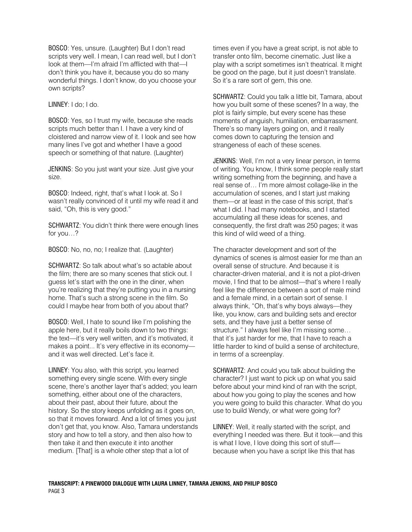BOSCO: Yes, unsure. (Laughter) But I don't read scripts very well. I mean, I can read well, but I don't look at them—I'm afraid I'm afflicted with that—I don't think you have it, because you do so many wonderful things. I don't know, do you choose your own scripts?

LINNEY: I do; I do.

BOSCO: Yes, so I trust my wife, because she reads scripts much better than I. I have a very kind of cloistered and narrow view of it. I look and see how many lines I've got and whether I have a good speech or something of that nature. (Laughter)

JENKINS: So you just want your size. Just give your size.

BOSCO: Indeed, right, that's what I look at. So I wasn't really convinced of it until my wife read it and said, "Oh, this is very good."

SCHWARTZ: You didn't think there were enough lines for you…?

BOSCO: No, no, no; I realize that. (Laughter)

SCHWARTZ: So talk about what's so actable about the film; there are so many scenes that stick out. I guess let's start with the one in the diner, when you're realizing that they're putting you in a nursing home. That's such a strong scene in the film. So could I maybe hear from both of you about that?

BOSCO: Well, I hate to sound like I'm polishing the apple here, but it really boils down to two things: the text—it's very well written, and it's motivated, it makes a point... It's very effective in its economy and it was well directed. Let's face it.

LINNEY: You also, with this script, you learned something every single scene. With every single scene, there's another layer that's added; you learn something, either about one of the characters, about their past, about their future, about the history. So the story keeps unfolding as it goes on, so that it moves forward. And a lot of times you just don't get that, you know. Also, Tamara understands story and how to tell a story, and then also how to then take it and then execute it into another medium. [That] is a whole other step that a lot of

times even if you have a great script, is not able to transfer onto film, become cinematic. Just like a play with a script sometimes isn't theatrical. It might be good on the page, but it just doesn't translate. So it's a rare sort of gem, this one.

SCHWARTZ: Could you talk a little bit, Tamara, about how you built some of these scenes? In a way, the plot is fairly simple, but every scene has these moments of anguish, humiliation, embarrassment. There's so many layers going on, and it really comes down to capturing the tension and strangeness of each of these scenes.

JENKINS: Well, I'm not a very linear person, in terms of writing. You know, I think some people really start writing something from the beginning, and have a real sense of… I'm more almost collage-like in the accumulation of scenes, and I start just making them—or at least in the case of this script, that's what I did. I had many notebooks, and I started accumulating all these ideas for scenes, and consequently, the first draft was 250 pages; it was this kind of wild weed of a thing.

The character development and sort of the dynamics of scenes is almost easier for me than an overall sense of structure. And because it is character-driven material, and it is not a plot-driven movie, I find that to be almost—that's where I really feel like the difference between a sort of male mind and a female mind, in a certain sort of sense. I always think, "Oh, that's why boys always—they like, you know, cars and building sets and erector sets, and they have just a better sense of structure." I always feel like I'm missing some… that it's just harder for me, that I have to reach a little harder to kind of build a sense of architecture, in terms of a screenplay.

SCHWARTZ: And could you talk about building the character? I just want to pick up on what you said before about your mind kind of ran with the script, about how you going to play the scenes and how you were going to build this character. What do you use to build Wendy, or what were going for?

LINNEY: Well, it really started with the script, and everything I needed was there. But it took—and this is what I love, I love doing this sort of stuff because when you have a script like this that has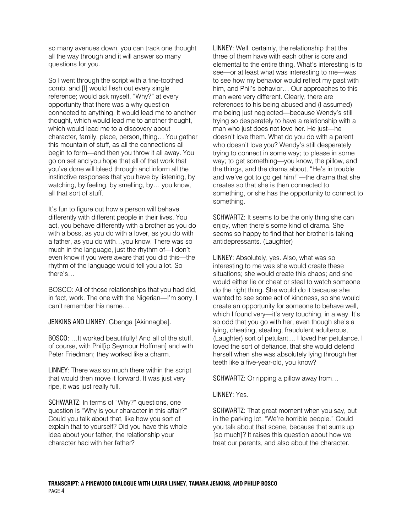so many avenues down, you can track one thought all the way through and it will answer so many questions for you.

So I went through the script with a fine-toothed comb, and [I] would flesh out every single reference; would ask myself, "Why?" at every opportunity that there was a why question connected to anything. It would lead me to another thought, which would lead me to another thought, which would lead me to a discovery about character, family, place, person, thing… You gather this mountain of stuff, as all the connections all begin to form—and then you throw it all away. You go on set and you hope that all of that work that you've done will bleed through and inform all the instinctive responses that you have by listening, by watching, by feeling, by smelling, by… you know, all that sort of stuff.

It's fun to figure out how a person will behave differently with different people in their lives. You act, you behave differently with a brother as you do with a boss, as you do with a lover, as you do with a father, as you do with…you know. There was so much in the language, just the rhythm of—I don't even know if you were aware that you did this—the rhythm of the language would tell you a lot. So there's…

BOSCO: All of those relationships that you had did, in fact, work. The one with the Nigerian—I'm sorry, I can't remember his name…

JENKINS AND LINNEY: Gbenga [Akinnagbe].

BOSCO: …It worked beautifully! And all of the stuff, of course, with Phil[ip Seymour Hoffman] and with Peter Friedman; they worked like a charm.

LINNEY: There was so much there within the script that would then move it forward. It was just very ripe, it was just really full.

SCHWARTZ: In terms of "Why?" questions, one question is "Why is your character in this affair?" Could you talk about that, like how you sort of explain that to yourself? Did you have this whole idea about your father, the relationship your character had with her father?

LINNEY: Well, certainly, the relationship that the three of them have with each other is core and elemental to the entire thing. What's interesting is to see—or at least what was interesting to me—was to see how my behavior would reflect my past with him, and Phil's behavior… Our approaches to this man were very different. Clearly, there are references to his being abused and (I assumed) me being just neglected—because Wendy's still trying so desperately to have a relationship with a man who just does not love her. He just—he doesn't love them. What do you do with a parent who doesn't love you? Wendy's still desperately trying to connect in some way; to please in some way; to get something—you know, the pillow, and the things, and the drama about, "He's in trouble and we've got to go get him!"—the drama that she creates so that she is then connected to something, or she has the opportunity to connect to something.

SCHWARTZ: It seems to be the only thing she can enjoy, when there's some kind of drama. She seems so happy to find that her brother is taking antidepressants. (Laughter)

LINNEY: Absolutely, yes. Also, what was so interesting to me was she would create these situations; she would create this chaos; and she would either lie or cheat or steal to watch someone do the right thing. She would do it because she wanted to see some act of kindness, so she would create an opportunity for someone to behave well, which I found very—it's very touching, in a way. It's so odd that you go with her, even though she's a lying, cheating, stealing, fraudulent adulterous, (Laughter) sort of petulant.... I loved her petulance. I loved the sort of defiance, that she would defend herself when she was absolutely lying through her teeth like a five-year-old, you know?

SCHWARTZ: Or ripping a pillow away from…

# LINNEY: Yes.

SCHWARTZ: That great moment when you say, out in the parking lot, "We're horrible people." Could you talk about that scene, because that sums up [so much]? It raises this question about how we treat our parents, and also about the character.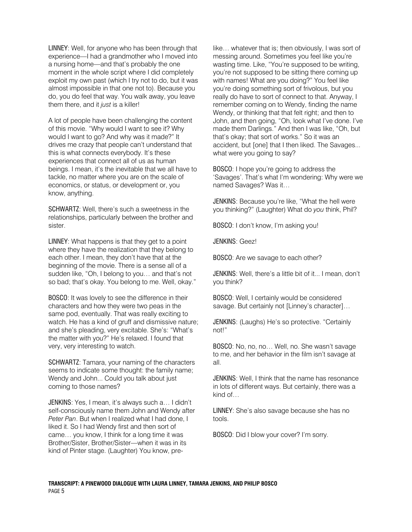LINNEY: Well, for anyone who has been through that experience—I had a grandmother who I moved into a nursing home—and that's probably the one moment in the whole script where I did completely exploit my own past (which I try not to do, but it was almost impossible in that one not to). Because you do, you do feel that way. You walk away, you leave them there, and it *just* is a killer!

A lot of people have been challenging the content of this movie. "Why would I want to see it? Why would I want to go? And why was it made?" It drives me crazy that people can't understand that this is what connects everybody. It's these experiences that connect all of us as human beings. I mean, it's the inevitable that we all have to tackle, no matter where you are on the scale of economics, or status, or development or, you know, anything.

SCHWARTZ: Well, there's such a sweetness in the relationships, particularly between the brother and sister.

LINNEY: What happens is that they get to a point where they have the realization that they belong to each other. I mean, they don't have that at the beginning of the movie. There is a sense all of a sudden like, "Oh, I belong to you… and that's not so bad; that's okay. You belong to me. Well, okay."

BOSCO: It was lovely to see the difference in their characters and how they were two peas in the same pod, eventually. That was really exciting to watch. He has a kind of gruff and dismissive nature; and she's pleading, very excitable. She's: "What's the matter with you?" He's relaxed. I found that very, very interesting to watch.

SCHWARTZ: Tamara, your naming of the characters seems to indicate some thought: the family name; Wendy and John... Could you talk about just coming to those names?

JENKINS: Yes, I mean, it's always such a… I didn't self-consciously name them John and Wendy after *Peter Pan*. But when I realized what I had done, I liked it. So I had Wendy first and then sort of came… you know, I think for a long time it was Brother/Sister, Brother/Sister—when it was in its kind of Pinter stage. (Laughter) You know, prelike… whatever that is; then obviously, I was sort of messing around. Sometimes you feel like you're wasting time. Like, "You're supposed to be writing, you're not supposed to be sitting there coming up with names! What are you doing?" You feel like you're doing something sort of frivolous, but you really do have to sort of connect to that. Anyway, I remember coming on to Wendy, finding the name Wendy, or thinking that that felt right; and then to John, and then going, "Oh, look what I've done. I've made them Darlings." And then I was like, "Oh, but that's okay; that sort of works." So it was an accident, but [one] that I then liked. The Savages... what were you going to say?

BOSCO: I hope you're going to address the 'Savages'. That's what I'm wondering: Why were we named Savages? Was it…

JENKINS: Because you're like, "What the hell were you thinking?" (Laughter) What do *you* think, Phil?

BOSCO: I don't know, I'm asking you!

JENKINS: Geez!

BOSCO: Are we savage to each other?

JENKINS: Well, there's a little bit of it... I mean, don't you think?

BOSCO: Well, I certainly would be considered savage. But certainly not [Linney's character]...

JENKINS: (Laughs) He's so protective. "Certainly not!"

BOSCO: No, no, no… Well, no. She wasn't savage to me, and her behavior in the film isn't savage at all.

JENKINS: Well, I think that the name has resonance in lots of different ways. But certainly, there was a kind of…

LINNEY: She's also savage because she has no tools.

BOSCO: Did I blow your cover? I'm sorry.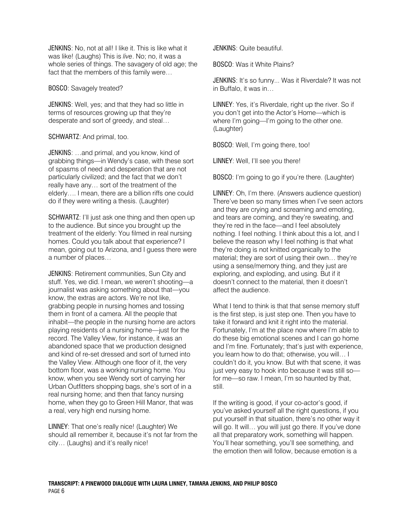JENKINS: No, not at all! I like it. This is like what it was like! (Laughs) This is *live*. No; no, it was a whole series of things. The savagery of old age; the fact that the members of this family were…

## BOSCO: Savagely treated?

JENKINS: Well, yes; and that they had so little in terms of resources growing up that they're desperate and sort of greedy, and steal…

SCHWARTZ: And primal, too.

JENKINS: …and primal, and you know, kind of grabbing things—in Wendy's case, with these sort of spasms of need and desperation that are not particularly civilized; and the fact that we don't really have any… sort of the treatment of the elderly…. I mean, there are a billion riffs one could do if they were writing a thesis. (Laughter)

SCHWARTZ: I'll just ask one thing and then open up to the audience. But since you brought up the treatment of the elderly: You filmed in real nursing homes. Could you talk about that experience? I mean, going out to Arizona, and I guess there were a number of places…

JENKINS: Retirement communities, Sun City and stuff. Yes, we did. I mean, we weren't shooting—a journalist was asking something about that—you know, the extras are actors. We're not like, grabbing people in nursing homes and tossing them in front of a camera. All the people that inhabit—the people in the nursing home are actors playing residents of a nursing home—just for the record. The Valley View, for instance, it was an abandoned space that we production designed and kind of re-set dressed and sort of turned into the Valley View. Although one floor of it, the very bottom floor, was a working nursing home. You know, when you see Wendy sort of carrying her Urban Outfitters shopping bags, she's sort of in a real nursing home; and then that fancy nursing home, when they go to Green Hill Manor, that was a real, very high end nursing home.

LINNEY: That one's really nice! (Laughter) We should all remember it, because it's not far from the city… (Laughs) and it's really nice!

JENKINS: Quite beautiful.

BOSCO: Was it White Plains?

JENKINS: It's so funny... Was it Riverdale? It was not in Buffalo, it was in…

LINNEY: Yes, it's Riverdale, right up the river. So if you don't get into the Actor's Home—which is where I'm going—I'm going to the other one. (Laughter)

BOSCO: Well, I'm going there, too!

LINNEY: Well, I'll see you there!

BOSCO: I'm going to go if you're there. (Laughter)

LINNEY: Oh, I'm there. (Answers audience question) There've been so many times when I've seen actors and they are crying and screaming and emoting, and tears are coming, and they're sweating, and they're red in the face—and I feel absolutely nothing. I feel nothing. I think about this a lot, and I believe the reason why I feel nothing is that what they're doing is not knitted organically to the material; they are sort of using their own… they're using a sense/memory thing, and they just are exploring, and exploding, and using. But if it doesn't connect to the material, then it doesn't affect the audience.

What I tend to think is that that sense memory stuff is the first step, is just step one. Then you have to take it forward and knit it right into the material. Fortunately, I'm at the place now where I'm able to do these big emotional scenes and I can go home and I'm fine. Fortunately; that's just with experience, you learn how to do that; otherwise, you will… I couldn't do it, you know. But with that scene, it was just very easy to hook into because it was still sofor me—so raw. I mean, I'm so haunted by that, still.

If the writing is good, if your co-actor's good, if you've asked yourself all the right questions, if you put yourself in that situation, there's no other way it will go. It will… you will just go there. If you've done all that preparatory work, something will happen. You'll hear something, you'll see something, and the emotion then will follow, because emotion is a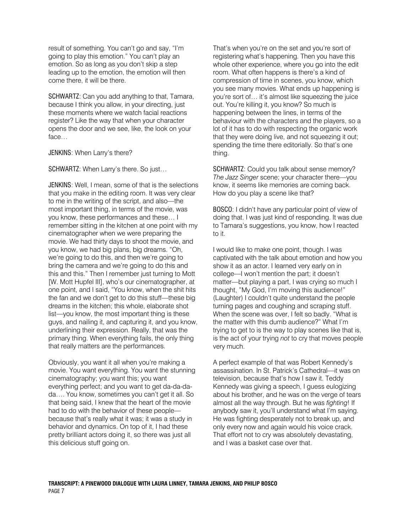result of something. You can't go and say, "I'm going to play this emotion." You can't play an emotion. So as long as you don't skip a step leading up to the emotion, the emotion will then come there, it will be there.

SCHWARTZ: Can you add anything to that, Tamara, because I think you allow, in your directing, just these moments where we watch facial reactions register? Like the way that when your character opens the door and we see, like, the look on your face…

JENKINS: When Larry's there?

SCHWARTZ: When Larry's there. So just…

JENKINS: Well, I mean, some of that is the selections that you make in the editing room. It was very clear to me in the writing of the script, and also—the most important thing, in terms of the movie, was you know, these performances and these… I remember sitting in the kitchen at one point with my cinematographer when we were preparing the movie. We had thirty days to shoot the movie, and you know, we had big plans, big dreams. "Oh, we're going to do this, and then we're going to bring the camera and we're going to do this and this and this." Then I remember just turning to Mott [W. Mott Hupfel III], who's our cinematographer, at one point, and I said, "You know, when the shit hits the fan and we don't get to do this stuff—these big dreams in the kitchen; this whole, elaborate shot list—you know, the most important thing is these guys, and nailing it, and capturing it, and you know, underlining their expression. Really, that was the primary thing. When everything fails, the only thing that really matters are the performances.

Obviously, you want it all when you're making a movie. You want everything. You want the stunning cinematography; you want this; you want everything perfect; and you want to get da-da-dada…. You know, sometimes you can't get it all. So that being said, I knew that the heart of the movie had to do with the behavior of these people because that's really what it was; it was a study in behavior and dynamics. On top of it, I had these pretty brilliant actors doing it, so there was just all this delicious stuff going on.

That's when you're on the set and you're sort of registering what's happening. Then you have this whole other experience, where you go into the edit room. What often happens is there's a kind of compression of time in scenes, you know, which you see many movies. What ends up happening is you're sort of… it's almost like squeezing the juice out. You're killing it, you know? So much is happening between the lines, in terms of the behaviour with the characters and the players, so a lot of it has to do with respecting the organic work that they were doing live, and not squeezing it out; spending the time there editorially. So that's one thing.

SCHWARTZ: Could you talk about sense memory? *The Jazz Singer* scene; your character there—you know, it seems like memories are coming back. How do you play a scene like that?

BOSCO: I didn't have any particular point of view of doing that. I was just kind of responding. It was due to Tamara's suggestions, you know, how I reacted to it.

I would like to make one point, though. I was captivated with the talk about emotion and how you show it as an actor. I learned very early on in college—I won't mention the part; it doesn't matter—but playing a part, I was crying so much I thought, "My God, I'm moving this audience!" (Laughter) I couldn't quite understand the people turning pages and coughing and scraping stuff. When the scene was over, I felt so badly. "What is the matter with this dumb audience?" What I'm trying to get to is the way to play scenes like that is, is the act of your trying *not* to cry that moves people very much.

A perfect example of that was Robert Kennedy's assassination. In St. Patrick's Cathedral—it was on television, because that's how I saw it. Teddy Kennedy was giving a speech, I guess eulogizing about his brother, and he was on the verge of tears almost all the way through. But he was *fighting*! If anybody saw it, you'll understand what I'm saying. He was fighting desperately not to break up, and only every now and again would his voice crack. That effort not to cry was absolutely devastating, and I was a basket case over that.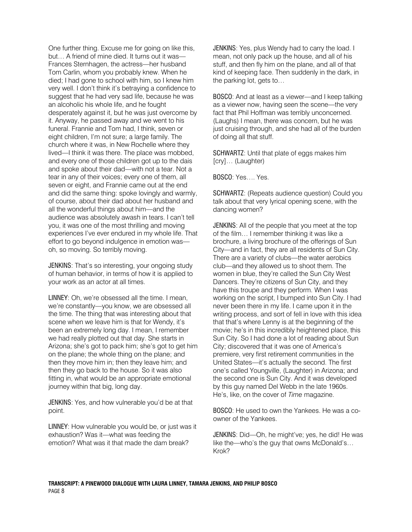One further thing. Excuse me for going on like this, but… A friend of mine died. It turns out it was— Frances Sternhagen, the actress—her husband Tom Carlin, whom you probably knew. When he died; I had gone to school with him, so I knew him very well. I don't think it's betraying a confidence to suggest that he had very sad life, because he was an alcoholic his whole life, and he fought desperately against it, but he was just overcome by it. Anyway, he passed away and we went to his funeral. Frannie and Tom had, I think, seven or eight children, I'm not sure; a large family. The church where it was, in New Rochelle where they lived—I think it was there. The place was mobbed, and every one of those children got up to the dais and spoke about their dad—with not a tear. Not a tear in any of their voices; every one of them, all seven or eight, and Frannie came out at the end and did the same thing: spoke lovingly and warmly, of course, about their dad about her husband and all the wonderful things about him—and the audience was absolutely awash in tears. I can't tell you, it was one of the most thrilling and moving experiences I've ever endured in my whole life. That effort to go beyond indulgence in emotion was oh, so moving. So terribly moving.

JENKINS: That's so interesting, your ongoing study of human behavior, in terms of how it is applied to your work as an actor at all times.

LINNEY: Oh, we're obsessed all the time. I mean, we're constantly—you know, we are obsessed all the time. The thing that was interesting about that scene when we leave him is that for Wendy, it's been an extremely long day. I mean, I remember we had really plotted out that day. She starts in Arizona; she's got to pack him; she's got to get him on the plane; the whole thing on the plane; and then they move him in; then they leave him; and then they go back to the house. So it was also fitting in, what would be an appropriate emotional journey within that big, long day.

JENKINS: Yes, and how vulnerable you'd be at that point.

LINNEY: How vulnerable you would be, or just was it exhaustion? Was it—what was feeding the emotion? What was it that made the dam break?

JENKINS: Yes, plus Wendy had to carry the load. I mean, not only pack up the house, and all of his stuff, and then fly him on the plane, and all of that kind of keeping face. Then suddenly in the dark, in the parking lot, gets to…

BOSCO: And at least as a viewer—and I keep talking as a viewer now, having seen the scene—the very fact that Phil Hoffman was terribly unconcerned. (Laughs) I mean, there was concern, but he was just cruising through, and she had all of the burden of doing all that stuff.

SCHWARTZ: Until that plate of eggs makes him [cry]... (Laughter)

BOSCO: Yes…. Yes.

SCHWARTZ: (Repeats audience question) Could you talk about that very lyrical opening scene, with the dancing women?

JENKINS: All of the people that you meet at the top of the film… I remember thinking it was like a brochure, a living brochure of the offerings of Sun City—and in fact, they are all residents of Sun City. There are a variety of clubs—the water aerobics club—and they allowed us to shoot them. The women in blue, they're called the Sun City West Dancers. They're citizens of Sun City, and they have this troupe and they perform. When I was working on the script, I bumped into Sun City. I had never been there in my life. I came upon it in the writing process, and sort of fell in love with this idea that that's where Lenny is at the beginning of the movie; he's in this incredibly heightened place, this Sun City. So I had done a lot of reading about Sun City; discovered that it was one of America's premiere, very first retirement communities in the United States—it's actually the second. The first one's called Youngville, (Laughter) in Arizona; and the second one is Sun City. And it was developed by this guy named Del Webb in the late 1960s. He's, like, on the cover of *Time* magazine.

BOSCO: He used to own the Yankees. He was a coowner of the Yankees.

JENKINS: Did—Oh, he might've; yes, he did! He was like the—who's the guy that owns McDonald's… Krok?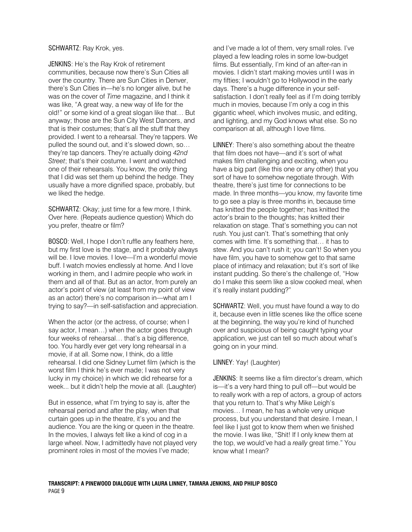## SCHWARTZ: Ray Krok, yes.

JENKINS: He's the Ray Krok of retirement communities, because now there's Sun Cities all over the country. There are Sun Cities in Denver, there's Sun Cities in—he's no longer alive, but he was on the cover of *Time* magazine, and I think it was like, "A great way, a new way of life for the old!" or some kind of a great slogan like that… But anyway; those are the Sun City West Dancers, and that is their costumes; that's all the stuff that they provided. I went to a rehearsal. They're tappers. We pulled the sound out, and it's slowed down, so… they're tap dancers. They're actually doing *42nd Street*; that's their costume. I went and watched one of their rehearsals. You know, the only thing that I did was set them up behind the hedge. They usually have a more dignified space, probably, but we liked the hedge.

SCHWARTZ: Okay; just time for a few more, I think. Over here. (Repeats audience question) Which do you prefer, theatre or film?

BOSCO: Well, I hope I don't ruffle any feathers here, but my first love is the stage, and it probably always will be. I love movies. I love—I'm a wonderful movie buff. I watch movies endlessly at home. And I love working in them, and I admire people who work in them and all of that. But as an actor, from purely an actor's point of view (at least from my point of view as an actor) there's no comparison in—what am I trying to say?—in self-satisfaction and appreciation.

When the actor (or the actress, of course; when I say actor, I mean…) when the actor goes through four weeks of rehearsal… that's a big difference, too. You hardly ever get very long rehearsal in a movie, if at all. Some now, I think, do a little rehearsal. I did one Sidney Lumet film (which is the worst film I think he's ever made; I was not very lucky in my choice) in which we did rehearse for a week... but it didn't help the movie at all. (Laughter)

But in essence, what I'm trying to say is, after the rehearsal period and after the play, when that curtain goes up in the theatre, it's you and the audience. You are the king or queen in the theatre. In the movies, I always felt like a kind of cog in a large wheel. Now, I admittedly have not played very prominent roles in most of the movies I've made;

and I've made a lot of them, very small roles. I've played a few leading roles in some low-budget films. But essentially, I'm kind of an after-ran in movies. I didn't start making movies until I was in my fifties; I wouldn't go to Hollywood in the early days. There's a huge difference in your selfsatisfaction. I don't really feel as if I'm doing terribly much in movies, because I'm only a cog in this gigantic wheel, which involves music, and editing, and lighting, and my God knows what else. So no comparison at all, although I love films.

LINNEY: There's also something about the theatre that film does not have—and it's sort of what makes film challenging and exciting, when you have a big part (like this one or any other) that you sort of have to somehow negotiate through. With theatre, there's just time for connections to be made. In three months—you know, my favorite time to go see a play is three months in, because time has knitted the people together; has knitted the actor's brain to the thoughts; has knitted their relaxation on stage. That's something you can not rush. You just can't. That's something that only comes with time. It's something that… it has to stew. And you can't rush it; you can't! So when you have film, you have to somehow get to that same place of intimacy and relaxation; but it's sort of like instant pudding. So there's the challenge of, "How do I make this seem like a slow cooked meal, when it's really instant pudding?"

SCHWARTZ: Well, you must have found a way to do it, because even in little scenes like the office scene at the beginning, the way you're kind of hunched over and suspicious of being caught typing your application, we just can tell so much about what's going on in your mind.

## LINNEY: Yay! (Laughter)

JENKINS: It seems like a film director's dream, which is—it's a very hard thing to pull off—but would be to really work with a rep of actors, a group of actors that you return to. That's why Mike Leigh's movies… I mean, he has a whole very unique process, but you understand that desire. I mean, I feel like I just got to know them when we finished the movie. I was like, "Shit! If I only knew them at the top, we would've had a *really* great time." You know what I mean?